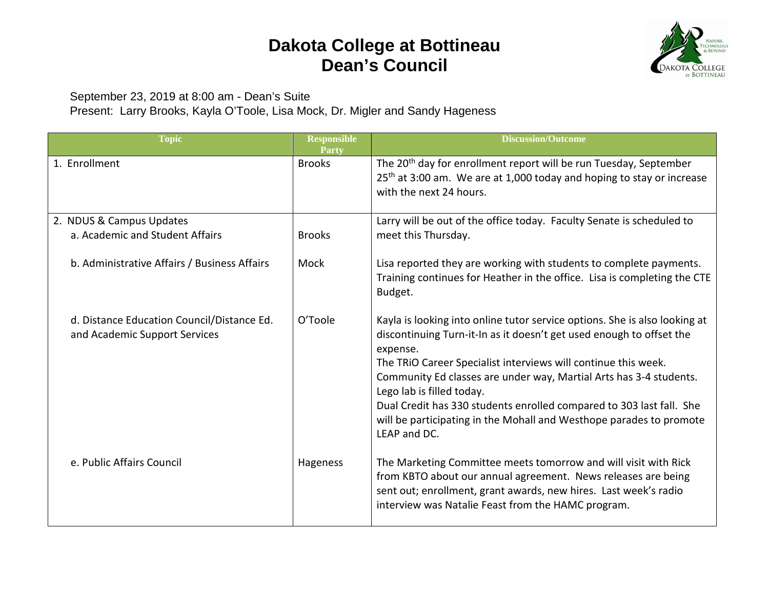## **Dakota College at Bottineau Dean's Council**



September 23, 2019 at 8:00 am - Dean's Suite

Present: Larry Brooks, Kayla O'Toole, Lisa Mock, Dr. Migler and Sandy Hageness

| <b>Topic</b>                                                                | <b>Responsible</b><br>Party | <b>Discussion/Outcome</b>                                                                                                                                                                                                                                                                                                                                                                                                                                                                          |
|-----------------------------------------------------------------------------|-----------------------------|----------------------------------------------------------------------------------------------------------------------------------------------------------------------------------------------------------------------------------------------------------------------------------------------------------------------------------------------------------------------------------------------------------------------------------------------------------------------------------------------------|
| 1. Enrollment                                                               | <b>Brooks</b>               | The 20 <sup>th</sup> day for enrollment report will be run Tuesday, September<br>25 <sup>th</sup> at 3:00 am. We are at 1,000 today and hoping to stay or increase<br>with the next 24 hours.                                                                                                                                                                                                                                                                                                      |
| 2. NDUS & Campus Updates<br>a. Academic and Student Affairs                 | <b>Brooks</b>               | Larry will be out of the office today. Faculty Senate is scheduled to<br>meet this Thursday.                                                                                                                                                                                                                                                                                                                                                                                                       |
| b. Administrative Affairs / Business Affairs                                | Mock                        | Lisa reported they are working with students to complete payments.<br>Training continues for Heather in the office. Lisa is completing the CTE<br>Budget.                                                                                                                                                                                                                                                                                                                                          |
| d. Distance Education Council/Distance Ed.<br>and Academic Support Services | O'Toole                     | Kayla is looking into online tutor service options. She is also looking at<br>discontinuing Turn-it-In as it doesn't get used enough to offset the<br>expense.<br>The TRIO Career Specialist interviews will continue this week.<br>Community Ed classes are under way, Martial Arts has 3-4 students.<br>Lego lab is filled today.<br>Dual Credit has 330 students enrolled compared to 303 last fall. She<br>will be participating in the Mohall and Westhope parades to promote<br>LEAP and DC. |
| e. Public Affairs Council                                                   | Hageness                    | The Marketing Committee meets tomorrow and will visit with Rick<br>from KBTO about our annual agreement. News releases are being<br>sent out; enrollment, grant awards, new hires. Last week's radio<br>interview was Natalie Feast from the HAMC program.                                                                                                                                                                                                                                         |